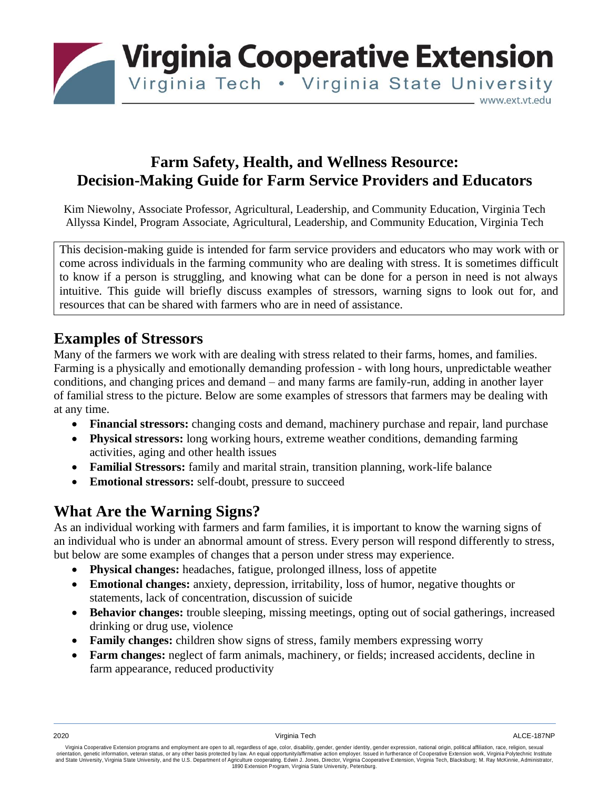

# **Farm Safety, Health, and Wellness Resource: Decision-Making Guide for Farm Service Providers and Educators**

Kim Niewolny, Associate Professor, Agricultural, Leadership, and Community Education, Virginia Tech Allyssa Kindel, Program Associate, Agricultural, Leadership, and Community Education, Virginia Tech

This decision-making guide is intended for farm service providers and educators who may work with or come across individuals in the farming community who are dealing with stress. It is sometimes difficult to know if a person is struggling, and knowing what can be done for a person in need is not always intuitive. This guide will briefly discuss examples of stressors, warning signs to look out for, and resources that can be shared with farmers who are in need of assistance.

# **Examples of Stressors**

Many of the farmers we work with are dealing with stress related to their farms, homes, and families. Farming is a physically and emotionally demanding profession - with long hours, unpredictable weather conditions, and changing prices and demand – and many farms are family-run, adding in another layer of familial stress to the picture. Below are some examples of stressors that farmers may be dealing with at any time.

- **Financial stressors:** changing costs and demand, machinery purchase and repair, land purchase
- **Physical stressors:** long working hours, extreme weather conditions, demanding farming activities, aging and other health issues
- **Familial Stressors:** family and marital strain, transition planning, work-life balance
- **Emotional stressors:** self-doubt, pressure to succeed

# **What Are the Warning Signs?**

As an individual working with farmers and farm families, it is important to know the warning signs of an individual who is under an abnormal amount of stress. Every person will respond differently to stress, but below are some examples of changes that a person under stress may experience.

- **Physical changes:** headaches, fatigue, prolonged illness, loss of appetite
- **Emotional changes:** anxiety, depression, irritability, loss of humor, negative thoughts or statements, lack of concentration, discussion of suicide
- **Behavior changes:** trouble sleeping, missing meetings, opting out of social gatherings, increased drinking or drug use, violence
- **Family changes:** children show signs of stress, family members expressing worry
- **Farm changes:** neglect of farm animals, machinery, or fields; increased accidents, decline in farm appearance, reduced productivity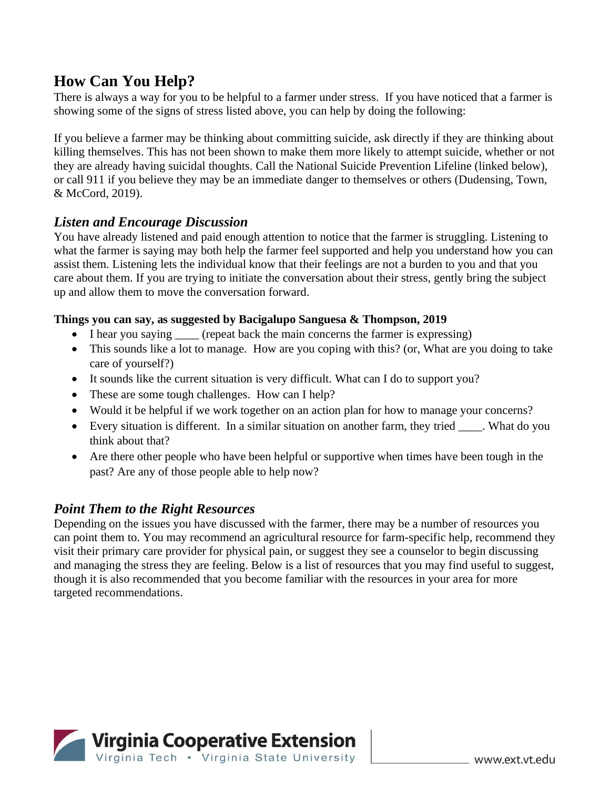# **How Can You Help?**

There is always a way for you to be helpful to a farmer under stress. If you have noticed that a farmer is showing some of the signs of stress listed above, you can help by doing the following:

If you believe a farmer may be thinking about committing suicide, ask directly if they are thinking about killing themselves. This has not been shown to make them more likely to attempt suicide, whether or not they are already having suicidal thoughts. Call the National Suicide Prevention Lifeline (linked below), or call 911 if you believe they may be an immediate danger to themselves or others (Dudensing, Town, & McCord, 2019).

# *Listen and Encourage Discussion*

You have already listened and paid enough attention to notice that the farmer is struggling. Listening to what the farmer is saying may both help the farmer feel supported and help you understand how you can assist them. Listening lets the individual know that their feelings are not a burden to you and that you care about them. If you are trying to initiate the conversation about their stress, gently bring the subject up and allow them to move the conversation forward.

## **Things you can say, as suggested by Bacigalupo Sanguesa & Thompson, 2019**

- I hear you saying (repeat back the main concerns the farmer is expressing)
- This sounds like a lot to manage. How are you coping with this? (or, What are you doing to take care of yourself?)
- It sounds like the current situation is very difficult. What can I do to support you?
- These are some tough challenges. How can I help?
- Would it be helpful if we work together on an action plan for how to manage your concerns?
- Every situation is different. In a similar situation on another farm, they tried \_\_\_\_\_. What do you think about that?
- Are there other people who have been helpful or supportive when times have been tough in the past? Are any of those people able to help now?

# *Point Them to the Right Resources*

Depending on the issues you have discussed with the farmer, there may be a number of resources you can point them to. You may recommend an agricultural resource for farm-specific help, recommend they visit their primary care provider for physical pain, or suggest they see a counselor to begin discussing and managing the stress they are feeling. Below is a list of resources that you may find useful to suggest, though it is also recommended that you become familiar with the resources in your area for more targeted recommendations.

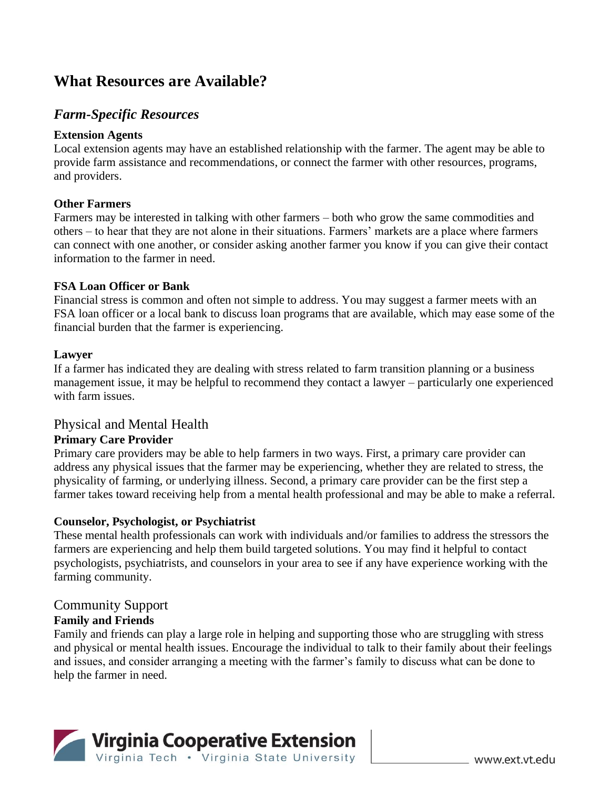# **What Resources are Available?**

# *Farm-Specific Resources*

### **Extension Agents**

Local extension agents may have an established relationship with the farmer. The agent may be able to provide farm assistance and recommendations, or connect the farmer with other resources, programs, and providers.

### **Other Farmers**

Farmers may be interested in talking with other farmers – both who grow the same commodities and others – to hear that they are not alone in their situations. Farmers' markets are a place where farmers can connect with one another, or consider asking another farmer you know if you can give their contact information to the farmer in need.

#### **FSA Loan Officer or Bank**

Financial stress is common and often not simple to address. You may suggest a farmer meets with an FSA loan officer or a local bank to discuss loan programs that are available, which may ease some of the financial burden that the farmer is experiencing.

#### **Lawyer**

If a farmer has indicated they are dealing with stress related to farm transition planning or a business management issue, it may be helpful to recommend they contact a lawyer – particularly one experienced with farm issues.

## Physical and Mental Health

## **Primary Care Provider**

Primary care providers may be able to help farmers in two ways. First, a primary care provider can address any physical issues that the farmer may be experiencing, whether they are related to stress, the physicality of farming, or underlying illness. Second, a primary care provider can be the first step a farmer takes toward receiving help from a mental health professional and may be able to make a referral.

## **Counselor, Psychologist, or Psychiatrist**

These mental health professionals can work with individuals and/or families to address the stressors the farmers are experiencing and help them build targeted solutions. You may find it helpful to contact psychologists, psychiatrists, and counselors in your area to see if any have experience working with the farming community.

## Community Support

## **Family and Friends**

Family and friends can play a large role in helping and supporting those who are struggling with stress and physical or mental health issues. Encourage the individual to talk to their family about their feelings and issues, and consider arranging a meeting with the farmer's family to discuss what can be done to help the farmer in need.